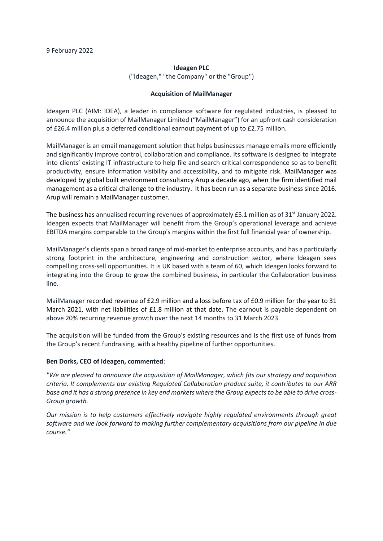## **Ideagen PLC**

("Ideagen," "the Company" or the "Group'')

## **Acquisition of MailManager**

Ideagen PLC (AIM: IDEA), a leader in compliance software for regulated industries, is pleased to announce the acquisition of MailManager Limited ("MailManager") for an upfront cash consideration of £26.4 million plus a deferred conditional earnout payment of up to £2.75 million.

MailManager is an email management solution that helps businesses manage emails more efficiently and significantly improve control, collaboration and compliance. Its software is designed to integrate into clients' existing IT infrastructure to help file and search critical correspondence so as to benefit productivity, ensure information visibility and accessibility, and to mitigate risk. MailManager was developed by global built environment consultancy Arup a decade ago, when the firm identified mail management as a critical challenge to the industry. It has been run as a separate business since 2016. Arup will remain a MailManager customer.

The business has annualised recurring revenues of approximately  $£5.1$  million as of  $31<sup>st</sup>$  January 2022. Ideagen expects that MailManager will benefit from the Group's operational leverage and achieve EBITDA margins comparable to the Group's margins within the first full financial year of ownership.

MailManager's clients span a broad range of mid-market to enterprise accounts, and has a particularly strong footprint in the architecture, engineering and construction sector, where Ideagen sees compelling cross-sell opportunities. It is UK based with a team of 60, which Ideagen looks forward to integrating into the Group to grow the combined business, in particular the Collaboration business line.

MailManager recorded revenue of £2.9 million and a loss before tax of £0.9 million for the year to 31 March 2021, with net liabilities of £1.8 million at that date. The earnout is payable dependent on above 20% recurring revenue growth over the next 14 months to 31 March 2023.

The acquisition will be funded from the Group's existing resources and is the first use of funds from the Group's recent fundraising, with a healthy pipeline of further opportunities.

# **Ben Dorks, CEO of Ideagen, commented**:

*"We are pleased to announce the acquisition of MailManager, which fits our strategy and acquisition criteria. It complements our existing Regulated Collaboration product suite, it contributes to our ARR base and it has a strong presence in key end markets where the Group expects to be able to drive cross-Group growth.* 

*Our mission is to help customers effectively navigate highly regulated environments through great software and we look forward to making further complementary acquisitions from our pipeline in due course."*